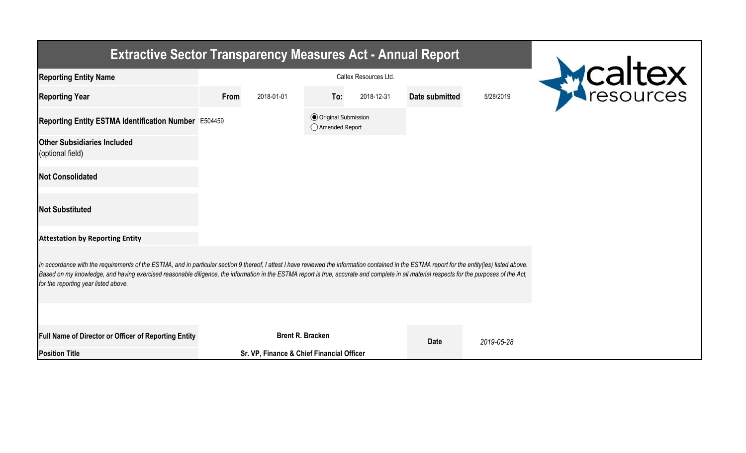| <b>Extractive Sector Transparency Measures Act - Annual Report</b>                                                                                                                                                                                                                                                                                                                                                                    |                                                  |                       |                         |            |                |            |  |  |  |
|---------------------------------------------------------------------------------------------------------------------------------------------------------------------------------------------------------------------------------------------------------------------------------------------------------------------------------------------------------------------------------------------------------------------------------------|--------------------------------------------------|-----------------------|-------------------------|------------|----------------|------------|--|--|--|
| <b>Reporting Entity Name</b>                                                                                                                                                                                                                                                                                                                                                                                                          |                                                  | Caltex Resources Ltd. |                         |            |                | Mcaltex    |  |  |  |
| <b>Reporting Year</b>                                                                                                                                                                                                                                                                                                                                                                                                                 | From                                             | 2018-01-01            | To:                     | 2018-12-31 | Date submitted | 5/28/2019  |  |  |  |
| Reporting Entity ESTMA Identification Number E504459                                                                                                                                                                                                                                                                                                                                                                                  | <b>◎</b> Original Submission<br>◯ Amended Report |                       |                         |            |                |            |  |  |  |
| <b>Other Subsidiaries Included</b><br>(optional field)                                                                                                                                                                                                                                                                                                                                                                                |                                                  |                       |                         |            |                |            |  |  |  |
| <b>Not Consolidated</b>                                                                                                                                                                                                                                                                                                                                                                                                               |                                                  |                       |                         |            |                |            |  |  |  |
| <b>Not Substituted</b>                                                                                                                                                                                                                                                                                                                                                                                                                |                                                  |                       |                         |            |                |            |  |  |  |
| <b>Attestation by Reporting Entity</b>                                                                                                                                                                                                                                                                                                                                                                                                |                                                  |                       |                         |            |                |            |  |  |  |
| In accordance with the requirements of the ESTMA, and in particular section 9 thereof, I attest I have reviewed the information contained in the ESTMA report for the entity(ies) listed above.<br>Based on my knowledge, and having exercised reasonable diligence, the information in the ESTMA report is true, accurate and complete in all material respects for the purposes of the Act,<br>for the reporting year listed above. |                                                  |                       |                         |            |                |            |  |  |  |
|                                                                                                                                                                                                                                                                                                                                                                                                                                       |                                                  |                       |                         |            |                |            |  |  |  |
| Full Name of Director or Officer of Reporting Entity                                                                                                                                                                                                                                                                                                                                                                                  |                                                  |                       | <b>Brent R. Bracken</b> |            | <b>Date</b>    | 2019-05-28 |  |  |  |
| <b>Position Title</b>                                                                                                                                                                                                                                                                                                                                                                                                                 | Sr. VP, Finance & Chief Financial Officer        |                       |                         |            |                |            |  |  |  |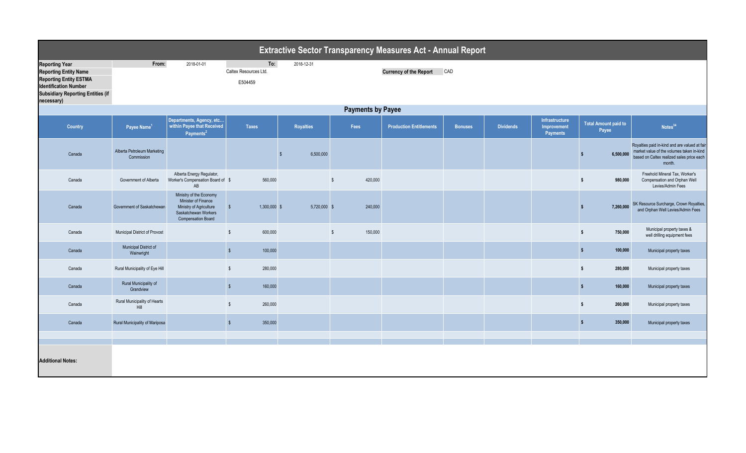| <b>Extractive Sector Transparency Measures Act - Annual Report</b>                                                                                                               |                                           |                                                                                                                                |                                         |                                                    |                         |                                |                |                  |                                                  |                                      |                                                                                                                                                   |  |  |
|----------------------------------------------------------------------------------------------------------------------------------------------------------------------------------|-------------------------------------------|--------------------------------------------------------------------------------------------------------------------------------|-----------------------------------------|----------------------------------------------------|-------------------------|--------------------------------|----------------|------------------|--------------------------------------------------|--------------------------------------|---------------------------------------------------------------------------------------------------------------------------------------------------|--|--|
| <b>Reporting Year</b><br><b>Reporting Entity Name</b><br><b>Reporting Entity ESTMA</b><br><b>Identification Number</b><br><b>Subsidiary Reporting Entities (if</b><br>necessary) | From:                                     | 2018-01-01                                                                                                                     | To:<br>Caltex Resources Ltd.<br>E504459 | 2018-12-31<br><b>Currency of the Report</b><br>CAD |                         |                                |                |                  |                                                  |                                      |                                                                                                                                                   |  |  |
| <b>Payments by Payee</b>                                                                                                                                                         |                                           |                                                                                                                                |                                         |                                                    |                         |                                |                |                  |                                                  |                                      |                                                                                                                                                   |  |  |
| Country                                                                                                                                                                          | Payee Name <sup>1</sup>                   | Departments, Agency, etc<br>within Payee that Received<br>Payments <sup>2</sup>                                                | <b>Taxes</b>                            | <b>Royalties</b>                                   | Fees                    | <b>Production Entitlements</b> | <b>Bonuses</b> | <b>Dividends</b> | Infrastructure<br>Improvement<br><b>Payments</b> | <b>Total Amount paid to</b><br>Payee | Notes <sup>34</sup>                                                                                                                               |  |  |
| Canada                                                                                                                                                                           | Alberta Petroleum Marketing<br>Commission |                                                                                                                                |                                         | 6,500,000                                          |                         |                                |                |                  |                                                  | 6.500.000                            | Royalties paid in-kind and are valued at fair<br>market value of the volumes taken in-kind<br>based on Caltex realized sales price each<br>month. |  |  |
| Canada                                                                                                                                                                           | Government of Alberta                     | Alberta Energy Regulator,<br>Worker's Compensation Board of \$<br>AB                                                           | 560,000                                 |                                                    | 420,000<br>\$           |                                |                |                  |                                                  | 980,000<br>-S.                       | Freehold Mineral Tax. Worker's<br>Compensation and Orphan Well<br>Levies/Admin Fees                                                               |  |  |
| Canada                                                                                                                                                                           | Government of Saskatchewan                | Ministry of the Economy<br>Minister of Finance<br>Ministry of Agriculture<br>Saskatchewan Workers<br><b>Compensation Board</b> | 1,300,000 \$<br>$$^{\circ}$             | 5,720,000 \$                                       | 240,000                 |                                |                |                  |                                                  | 7,260,000                            | SK Resource Surcharge, Crown Royalties,<br>and Orphan Well Levies/Admin Fees                                                                      |  |  |
| Canada                                                                                                                                                                           | Municipal District of Provost             |                                                                                                                                | $\mathbb{S}$<br>600,000                 |                                                    | 150,000<br>$\mathsf{s}$ |                                |                |                  |                                                  | 750,000<br>$\mathbf{s}$              | Municipal property taxes &<br>well drilling equipment fees                                                                                        |  |  |
| Canada                                                                                                                                                                           | Municipal District of<br>Wainwright       |                                                                                                                                | 100,000<br>$\sqrt{2}$                   |                                                    |                         |                                |                |                  |                                                  | 100,000<br>-S                        | Municipal property taxes                                                                                                                          |  |  |
| Canada                                                                                                                                                                           | Rural Municipality of Eye Hill            |                                                                                                                                | $\mathbb{S}$<br>280,000                 |                                                    |                         |                                |                |                  |                                                  | 280,000<br><b>S</b>                  | Municipal property taxes                                                                                                                          |  |  |
| Canada                                                                                                                                                                           | Rural Municipality of<br>Grandview        |                                                                                                                                | 160,000<br>$\sqrt{2}$                   |                                                    |                         |                                |                |                  |                                                  | 160,000<br>-S                        | Municipal property taxes                                                                                                                          |  |  |
| Canada                                                                                                                                                                           | Rural Municipality of Hearts<br>Hill      |                                                                                                                                | $\mathbb{S}$<br>260,000                 |                                                    |                         |                                |                |                  |                                                  | 260,000<br>-S                        | Municipal property taxes                                                                                                                          |  |  |
| Canada                                                                                                                                                                           | Rural Municipality of Mariposa            |                                                                                                                                | 350,000<br>$\sqrt[6]{\frac{1}{2}}$      |                                                    |                         |                                |                |                  |                                                  | 350,000<br>- 5                       | Municipal property taxes                                                                                                                          |  |  |
|                                                                                                                                                                                  |                                           |                                                                                                                                |                                         |                                                    |                         |                                |                |                  |                                                  |                                      |                                                                                                                                                   |  |  |
| <b>Additional Notes:</b>                                                                                                                                                         |                                           |                                                                                                                                |                                         |                                                    |                         |                                |                |                  |                                                  |                                      |                                                                                                                                                   |  |  |